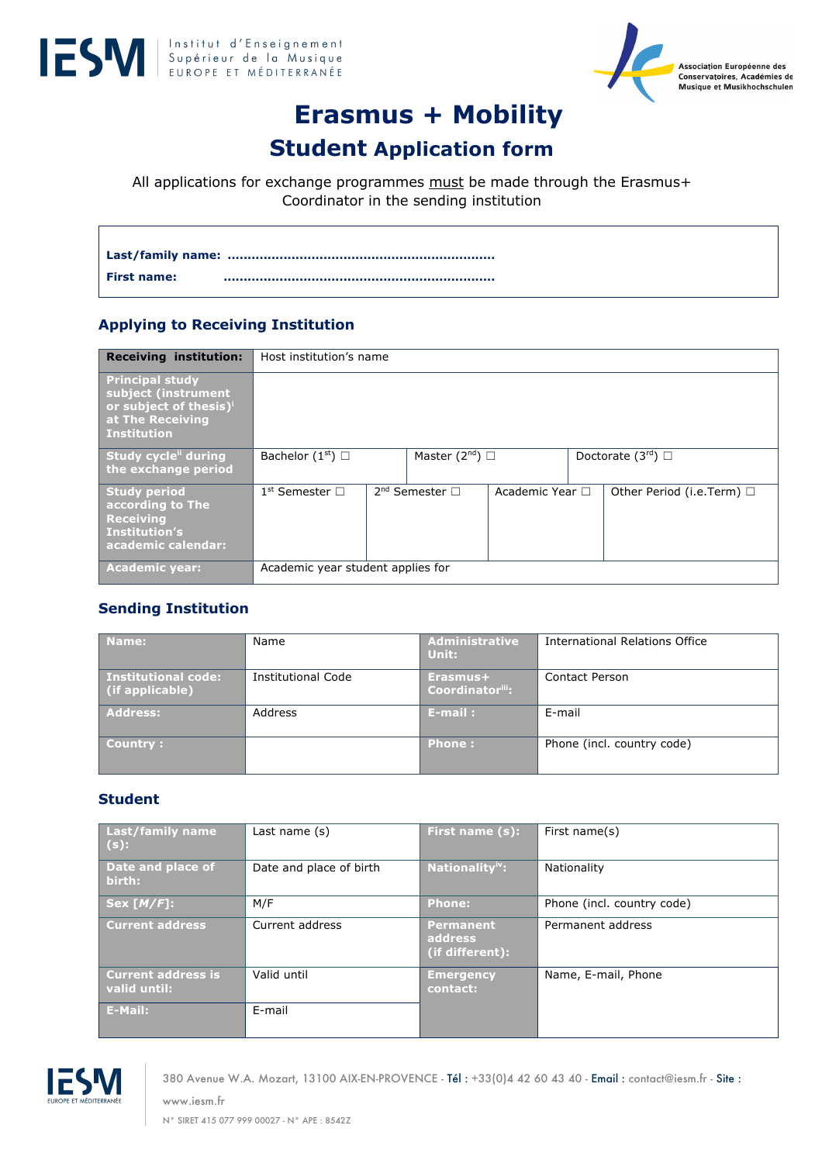



# **Erasmus + Mobility**

# **Student Application form**

All applications for exchange programmes must be made through the Erasmus+ Coordinator in the sending institution

**Last/family name: ................................................................... First name: ....................................................................**

# **Applying to Receiving Institution**

| <b>Receiving institution:</b>                                                                                                 | Host institution's name           |                          |                 |                                |
|-------------------------------------------------------------------------------------------------------------------------------|-----------------------------------|--------------------------|-----------------|--------------------------------|
| <b>Principal study</b><br>subject (instrument<br>or subject of thesis) <sup>i</sup><br>at The Receiving<br><b>Institution</b> |                                   |                          |                 |                                |
| Study cycle during<br>the exchange period                                                                                     | Bachelor $(1st)$                  | Master $(2^{nd})$ $\Box$ |                 | Doctorate $(3rd)$              |
| <b>Study period</b><br>according to The<br><b>Receiving</b><br><b>Institution's</b><br>academic calendar:                     | $1^{\text{st}}$ Semester $\Box$   | $2nd$ Semester $\Box$    | Academic Year □ | Other Period (i.e.Term) $\Box$ |
| <b>Academic year:</b>                                                                                                         | Academic year student applies for |                          |                 |                                |

# **Sending Institution**

| Name:                                         | Name                      | <b>Administrative</b><br>Unit: | International Relations Office |
|-----------------------------------------------|---------------------------|--------------------------------|--------------------------------|
| <b>Institutional code:</b><br>(if applicable) | <b>Institutional Code</b> | Erasmus+<br>Coordinatoriii:    | Contact Person                 |
| <b>Address:</b>                               | Address                   | $E$ -mail:                     | E-mail                         |
| Country:                                      |                           | <b>Phone:</b>                  | Phone (incl. country code)     |

#### **Student**

| <b>Last/family name</b><br>$(s)$ :        | Last name $(s)$         | First name (s):                                | First name(s)              |
|-------------------------------------------|-------------------------|------------------------------------------------|----------------------------|
| Date and place of<br>birth:               | Date and place of birth | Nationality <sup>iv</sup> :                    | Nationality                |
| Sex[M/F]:                                 | M/F                     | <b>Phone:</b>                                  | Phone (incl. country code) |
| <b>Current address</b>                    | Current address         | <b>Permanent</b><br>address<br>(if different): | Permanent address          |
| <b>Current address is</b><br>valid until: | Valid until             | <b>Emergency</b><br>contact:                   | Name, E-mail, Phone        |
| E-Mail:                                   | E-mail                  |                                                |                            |



www.iesm.fr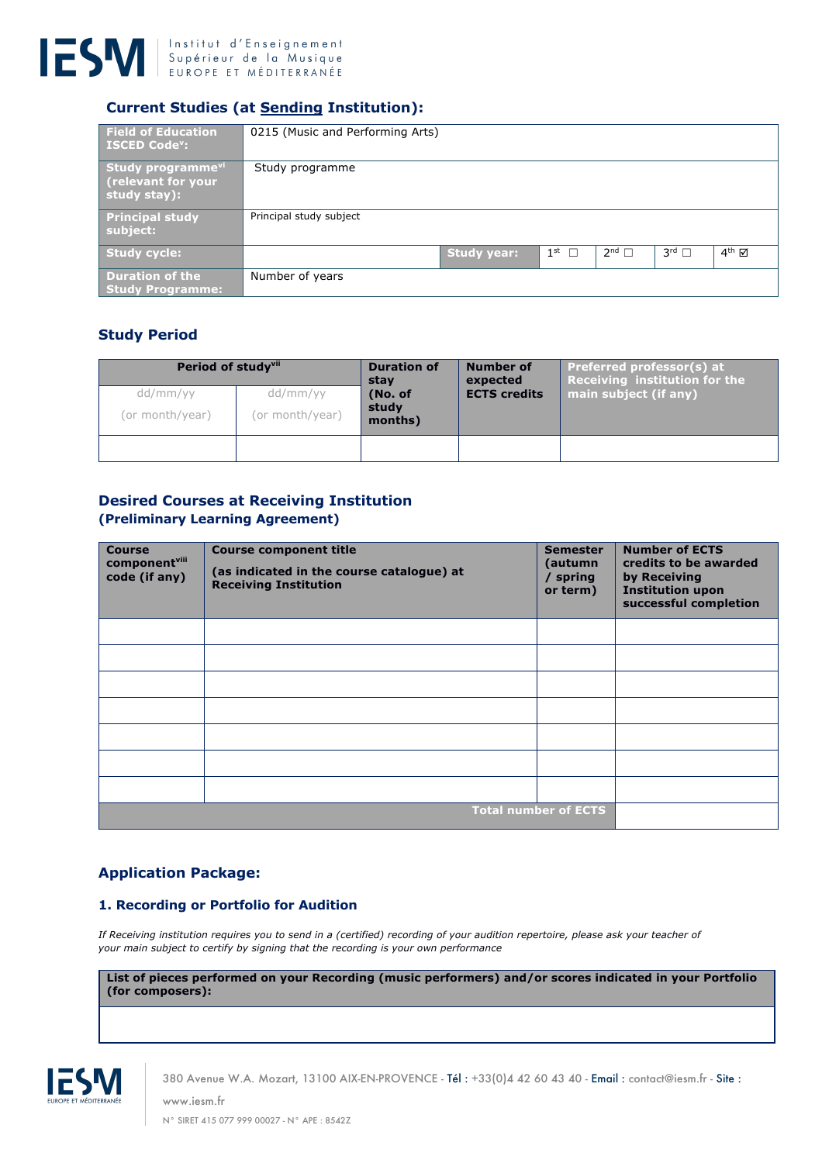

# **Current Studies (at Sending Institution):**

| <b>Field of Education</b><br><b>ISCED Code<sup>v</sup>:</b>          | 0215 (Music and Performing Arts) |             |                 |                 |                        |                   |
|----------------------------------------------------------------------|----------------------------------|-------------|-----------------|-----------------|------------------------|-------------------|
| Study programme <sup>vil</sup><br>(relevant for your<br>study stay): | Study programme                  |             |                 |                 |                        |                   |
| <b>Principal study</b><br>subject:                                   | Principal study subject          |             |                 |                 |                        |                   |
| <b>Study cycle:</b>                                                  |                                  | Study year: | $1^{\text{st}}$ | $2^{nd}$ $\Box$ | $3^{\text{rd}}$ $\Box$ | $4^{\text{th}}$ M |
| <b>Duration of the</b><br><b>Study Programme:</b>                    | Number of years                  |             |                 |                 |                        |                   |

## **Study Period**

| Period of study <sup>vii</sup><br>dd/mm/yy<br>(or month/year) | dd/mm/yy<br>(or month/year) | <b>Duration of</b><br>stav<br>(No. of<br>study<br>months) | Number of<br>expected<br><b>ECTS</b> credits | Preferred professor(s) at<br>Receiving institution for the $\mathsf{I}$<br>main subject (if any) |
|---------------------------------------------------------------|-----------------------------|-----------------------------------------------------------|----------------------------------------------|--------------------------------------------------------------------------------------------------|
|                                                               |                             |                                                           |                                              |                                                                                                  |

#### **Desired Courses at Receiving Institution (Preliminary Learning Agreement)**

| <b>Course</b><br>componentvill<br>code (if any) | <b>Course component title</b><br>(as indicated in the course catalogue) at<br><b>Receiving Institution</b> | <b>Semester</b><br>(autumn<br>/ spring<br>or term) | <b>Number of ECTS</b><br>credits to be awarded<br>by Receiving<br><b>Institution upon</b><br>successful completion |
|-------------------------------------------------|------------------------------------------------------------------------------------------------------------|----------------------------------------------------|--------------------------------------------------------------------------------------------------------------------|
|                                                 |                                                                                                            |                                                    |                                                                                                                    |
|                                                 |                                                                                                            |                                                    |                                                                                                                    |
|                                                 |                                                                                                            |                                                    |                                                                                                                    |
|                                                 |                                                                                                            |                                                    |                                                                                                                    |
|                                                 |                                                                                                            |                                                    |                                                                                                                    |
|                                                 |                                                                                                            |                                                    |                                                                                                                    |
|                                                 |                                                                                                            |                                                    |                                                                                                                    |
|                                                 |                                                                                                            | <b>Total number of ECTS</b>                        |                                                                                                                    |

# **Application Package:**

#### **1. Recording or Portfolio for Audition**

*If Receiving institution requires you to send in a (certified) recording of your audition repertoire, please ask your teacher of your main subject to certify by signing that the recording is your own performance*

**List of pieces performed on your Recording (music performers) and/or scores indicated in your Portfolio (for composers):**



380 Avenue W.A. Mozart, 13100 AIX-EN-PROVENCE - Tél : +33(0)4 42 60 43 40 - Email : contact@iesm.fr - Site : www.iesm.fr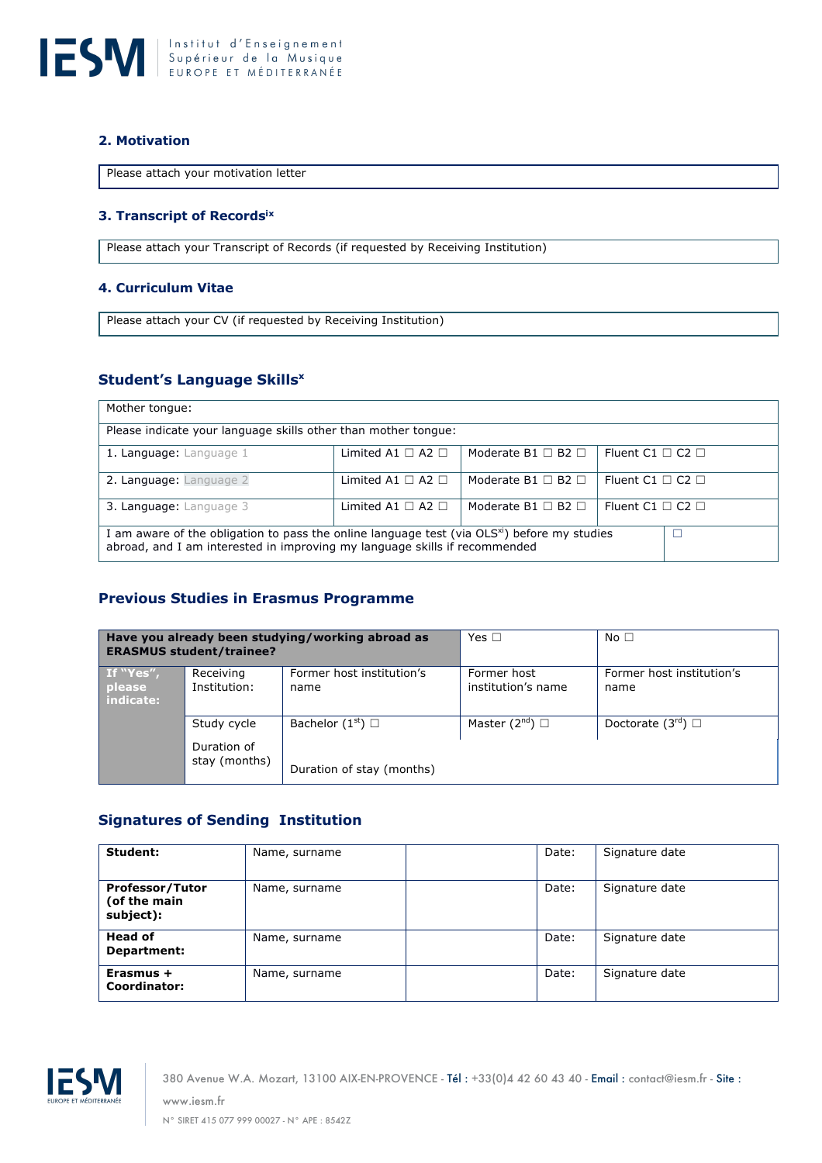

#### **2. Motivation**

Please attach your motivation letter

#### **3. Transcript of Recordsix**

Please attach your Transcript of Records (if requested by Receiving Institution)

#### **4. Curriculum Vitae**

Please attach your CV (if requested by Receiving Institution)

## **Student's Language Skillsx**

| Mother tongue:                                                                                                                                                                         |                             |                              |                            |  |  |
|----------------------------------------------------------------------------------------------------------------------------------------------------------------------------------------|-----------------------------|------------------------------|----------------------------|--|--|
| Please indicate your language skills other than mother tongue:                                                                                                                         |                             |                              |                            |  |  |
| 1. Language: Language 1                                                                                                                                                                | Limited A1 $\Box$ A2 $\Box$ | Moderate B1 $\Box$ B2 $\Box$ | Fluent C1 $\Box$ C2 $\Box$ |  |  |
| 2. Language: Language 2                                                                                                                                                                | Limited A1 $\Box$ A2 $\Box$ | Moderate B1 $\Box$ B2 $\Box$ | Fluent C1 $\Box$ C2 $\Box$ |  |  |
| 3. Language: Language 3                                                                                                                                                                | Limited A1 $\Box$ A2 $\Box$ | Moderate B1 $\Box$ B2 $\Box$ | Fluent C1 $\Box$ C2 $\Box$ |  |  |
| I am aware of the obligation to pass the online language test (via OLS <sup>xi</sup> ) before my studies<br>abroad, and I am interested in improving my language skills if recommended |                             |                              |                            |  |  |

## **Previous Studies in Erasmus Programme**

| Have you already been studying/working abroad as<br><b>ERASMUS student/trainee?</b> |                              | Yes $\Box$                        | No $\square$                      |                                   |
|-------------------------------------------------------------------------------------|------------------------------|-----------------------------------|-----------------------------------|-----------------------------------|
| If "Yes",<br>please<br>indicate:                                                    | Receiving<br>Institution:    | Former host institution's<br>name | Former host<br>institution's name | Former host institution's<br>name |
|                                                                                     | Study cycle                  | Bachelor $(1st)$ $\Box$           | Master $(2^{nd})$ $\Box$          | Doctorate $(3rd)$                 |
|                                                                                     | Duration of<br>stay (months) | Duration of stay (months)         |                                   |                                   |

## **Signatures of Sending Institution**

| Student:                                            | Name, surname | Date: | Signature date |
|-----------------------------------------------------|---------------|-------|----------------|
| <b>Professor/Tutor</b><br>(of the main<br>subject): | Name, surname | Date: | Signature date |
| <b>Head of</b><br>Department:                       | Name, surname | Date: | Signature date |
| Erasmus +<br>Coordinator:                           | Name, surname | Date: | Signature date |



380 Avenue W.A. Mozart, 13100 AIX-EN-PROVENCE - Tél : +33(0)4 42 60 43 40 - Email : contact@iesm.fr - Site : www.iesm.fr